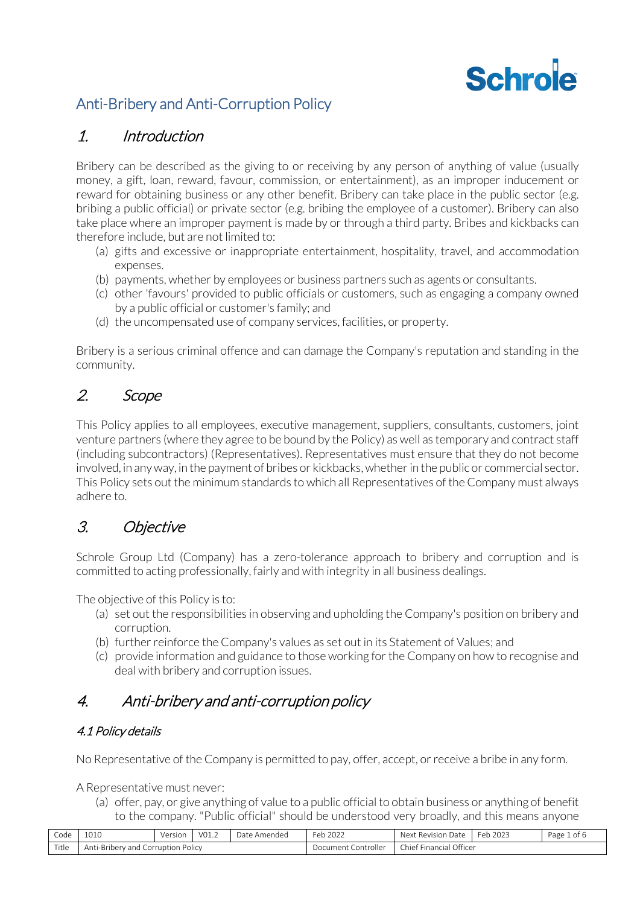# Schrole

# Anti-Bribery and Anti-Corruption Policy

## 1. Introduction

Bribery can be described as the giving to or receiving by any person of anything of value (usually money, a gift, loan, reward, favour, commission, or entertainment), as an improper inducement or reward for obtaining business or any other benefit. Bribery can take place in the public sector (e.g. bribing a public official) or private sector (e.g. bribing the employee of a customer). Bribery can also take place where an improper payment is made by or through a third party. Bribes and kickbacks can therefore include, but are not limited to:

- (a) gifts and excessive or inappropriate entertainment, hospitality, travel, and accommodation expenses.
- (b) payments, whether by employees or business partners such as agents or consultants.
- (c) other 'favours' provided to public officials or customers, such as engaging a company owned by a public official or customer's family; and
- (d) the uncompensated use of company services, facilities, or property.

Bribery is a serious criminal offence and can damage the Company's reputation and standing in the community.

# 2. Scope

This Policy applies to all employees, executive management, suppliers, consultants, customers, joint venture partners (where they agree to be bound by the Policy) as well as temporary and contract staff (including subcontractors) (Representatives). Representatives must ensure that they do not become involved, in any way, in the payment of bribes or kickbacks, whether in the public or commercial sector. This Policy sets out the minimum standards to which all Representatives of the Company must always adhere to.

# 3. Objective

Schrole Group Ltd (Company) has a zero-tolerance approach to bribery and corruption and is committed to acting professionally, fairly and with integrity in all business dealings.

The objective of this Policy is to:

- (a) set out the responsibilities in observing and upholding the Company's position on bribery and corruption.
- (b) further reinforce the Company's values as set out in its Statement of Values; and
- (c) provide information and guidance to those working for the Company on how to recognise and deal with bribery and corruption issues.

# 4. Anti-bribery and anti-corruption policy

### 4.1 Policy details

No Representative of the Company is permitted to pay, offer, accept, or receive a bribe in any form.

A Representative must never:

(a) offer, pay, or give anything of value to a public official to obtain business or anything of benefit to the company. "Public official" should be understood very broadly, and this means anyone

| Code                                                                  | 1010 | Version | VO1.2 | Date<br>Amended ^ | 2022<br>$\sim$<br>Fer<br>$'$ 2022<br>. | Nex.<br>Date<br>Revision                   | 2023<br>$\sim$<br>⊢er | Page<br>ot 6 |
|-----------------------------------------------------------------------|------|---------|-------|-------------------|----------------------------------------|--------------------------------------------|-----------------------|--------------|
| Title<br>Policy<br>Ant<br>uption.<br>C<br>.-Briber<br>/ and<br>$\sim$ |      |         |       |                   | Controller<br>cumen                    | Officer<br>.<br>'-inancial<br><b>Chief</b> |                       |              |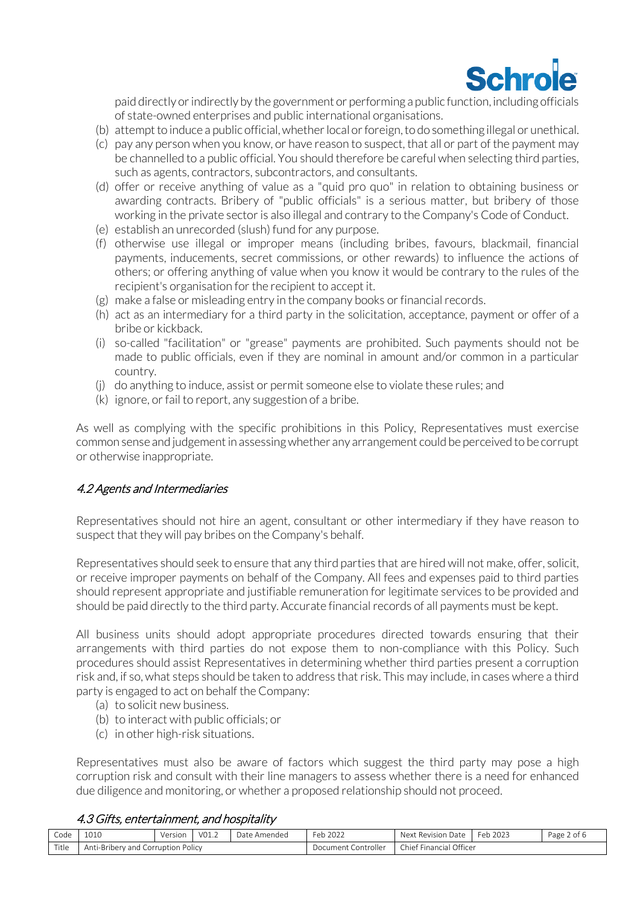

paid directly or indirectly by the government or performing a public function, including officials of state-owned enterprises and public international organisations.

- (b) attempt to induce a public official, whether local or foreign, to do something illegal or unethical.
- (c) pay any person when you know, or have reason to suspect, that all or part of the payment may be channelled to a public official. You should therefore be careful when selecting third parties, such as agents, contractors, subcontractors, and consultants.
- (d) offer or receive anything of value as a "quid pro quo" in relation to obtaining business or awarding contracts. Bribery of "public officials" is a serious matter, but bribery of those working in the private sector is also illegal and contrary to the Company's Code of Conduct.
- (e) establish an unrecorded (slush) fund for any purpose.
- (f) otherwise use illegal or improper means (including bribes, favours, blackmail, financial payments, inducements, secret commissions, or other rewards) to influence the actions of others; or offering anything of value when you know it would be contrary to the rules of the recipient's organisation for the recipient to accept it.
- (g) make a false or misleading entry in the company books or financial records.
- (h) act as an intermediary for a third party in the solicitation, acceptance, payment or offer of a bribe or kickback.
- (i) so-called "facilitation" or "grease" payments are prohibited. Such payments should not be made to public officials, even if they are nominal in amount and/or common in a particular country.
- (j) do anything to induce, assist or permit someone else to violate these rules; and
- (k) ignore, or fail to report, any suggestion of a bribe.

As well as complying with the specific prohibitions in this Policy, Representatives must exercise common sense and judgement in assessing whether any arrangement could be perceived to be corrupt or otherwise inappropriate.

#### 4.2 Agents and Intermediaries

Representatives should not hire an agent, consultant or other intermediary if they have reason to suspect that they will pay bribes on the Company's behalf.

Representatives should seek to ensure that any third parties that are hired will not make, offer, solicit, or receive improper payments on behalf of the Company. All fees and expenses paid to third parties should represent appropriate and justifiable remuneration for legitimate services to be provided and should be paid directly to the third party. Accurate financial records of all payments must be kept.

All business units should adopt appropriate procedures directed towards ensuring that their arrangements with third parties do not expose them to non-compliance with this Policy. Such procedures should assist Representatives in determining whether third parties present a corruption risk and, if so, what steps should be taken to address that risk. This may include, in cases where a third party is engaged to act on behalf the Company:

- (a) to solicit new business.
- (b) to interact with public officials; or
- (c) in other high-risk situations.

Representatives must also be aware of factors which suggest the third party may pose a high corruption risk and consult with their line managers to assess whether there is a need for enhanced due diligence and monitoring, or whether a proposed relationship should not proceed.

#### 4.3 Gifts, entertainment, and hospitality

| Code                                        | <b>1010</b> | Version | V01.2 | Date Amended | Feb 2022            | Next<br>Date<br>. Revision | Feb<br>2023 د | Page 2 of 6 |
|---------------------------------------------|-------------|---------|-------|--------------|---------------------|----------------------------|---------------|-------------|
| Title<br>Anti-Bribery and Corruption Policy |             |         |       |              | Document Controller | Officer<br>Chief Financial |               |             |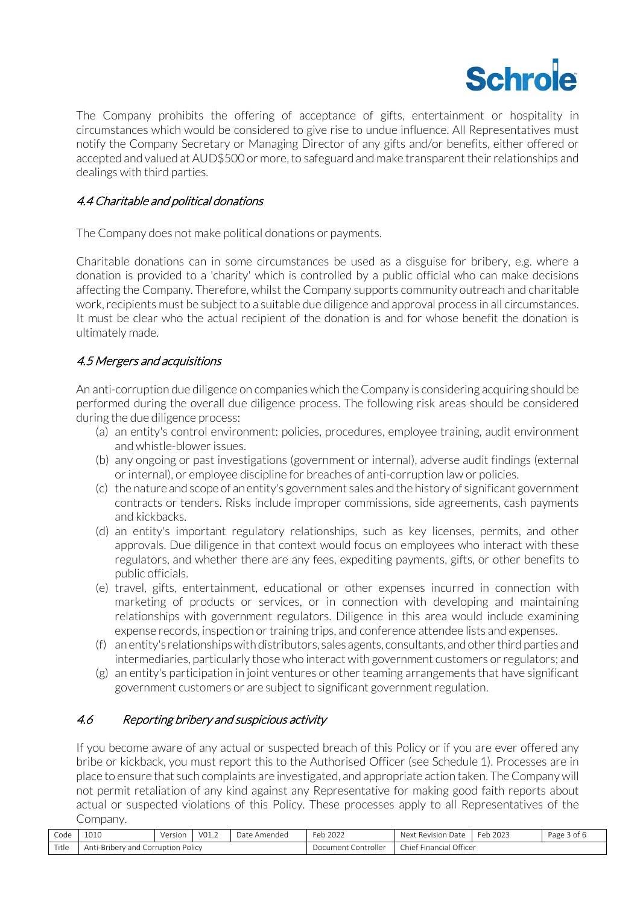

The Company prohibits the offering of acceptance of gifts, entertainment or hospitality in circumstances which would be considered to give rise to undue influence. All Representatives must notify the Company Secretary or Managing Director of any gifts and/or benefits, either offered or accepted and valued at AUD\$500 or more, to safeguard and make transparent their relationships and dealings with third parties.

#### 4.4 Charitable and political donations

The Company does not make political donations or payments.

Charitable donations can in some circumstances be used as a disguise for bribery, e.g. where a donation is provided to a 'charity' which is controlled by a public official who can make decisions affecting the Company. Therefore, whilst the Company supports community outreach and charitable work, recipients must be subject to a suitable due diligence and approval process in all circumstances. It must be clear who the actual recipient of the donation is and for whose benefit the donation is ultimately made.

#### 4.5 Mergers and acquisitions

An anti-corruption due diligence on companies which the Company is considering acquiring should be performed during the overall due diligence process. The following risk areas should be considered during the due diligence process:

- (a) an entity's control environment: policies, procedures, employee training, audit environment and whistle-blower issues.
- (b) any ongoing or past investigations (government or internal), adverse audit findings (external or internal), or employee discipline for breaches of anti-corruption law or policies.
- (c) the nature and scope of an entity's government sales and the history of significant government contracts or tenders. Risks include improper commissions, side agreements, cash payments and kickbacks.
- (d) an entity's important regulatory relationships, such as key licenses, permits, and other approvals. Due diligence in that context would focus on employees who interact with these regulators, and whether there are any fees, expediting payments, gifts, or other benefits to public officials.
- (e) travel, gifts, entertainment, educational or other expenses incurred in connection with marketing of products or services, or in connection with developing and maintaining relationships with government regulators. Diligence in this area would include examining expense records, inspection or training trips, and conference attendee lists and expenses.
- (f) an entity's relationships with distributors, sales agents, consultants, and other third parties and intermediaries, particularly those who interact with government customers or regulators; and
- (g) an entity's participation in joint ventures or other teaming arrangements that have significant government customers or are subject to significant government regulation.

#### 4.6 Reporting bribery and suspicious activity

If you become aware of any actual or suspected breach of this Policy or if you are ever offered any bribe or kickback, you must report this to the Authorised Officer (see [Schedule](#page-5-0) 1). Processes are in place to ensure that such complaints are investigated, and appropriate action taken. The Company will not permit retaliation of any kind against any Representative for making good faith reports about actual or suspected violations of this Policy. These processes apply to all Representatives of the Company.

| Code  | 1010                                        | Version | VO1.6 | Date<br>: Amended | $\sim$<br>Feb 2022         | Next<br>Revision<br>n Date          | 2023<br>Feb | Page 3 of 6 |
|-------|---------------------------------------------|---------|-------|-------------------|----------------------------|-------------------------------------|-------------|-------------|
| Title | ≅Policv<br>-Bribery and Corruption<br>Anti- |         |       |                   | Controller<br>. Jocument 1 | ' Officer<br>Chief Fir<br>Financial |             |             |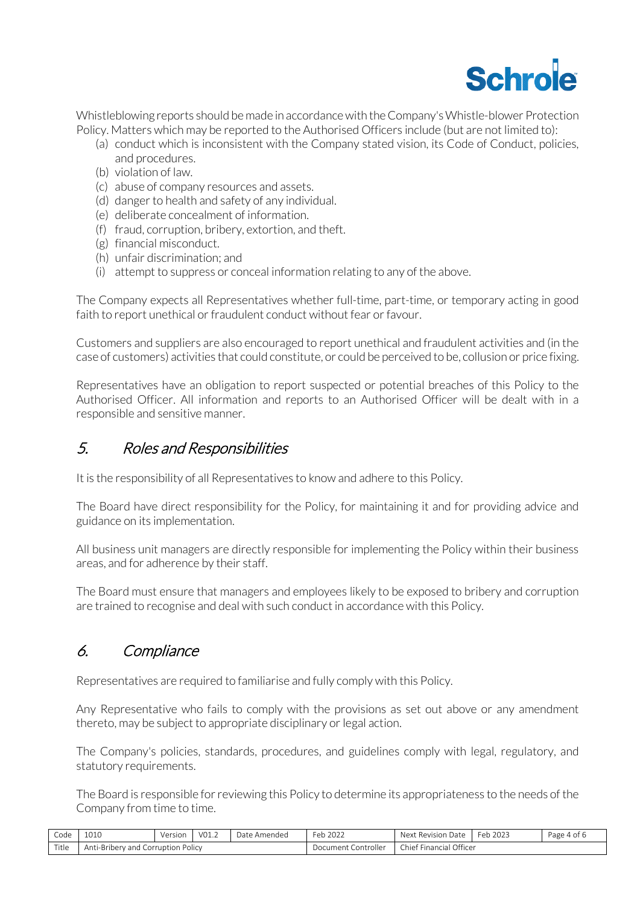

Whistleblowing reports should be made in accordance with the Company's Whistle-blower Protection Policy. Matters which may be reported to the Authorised Officers include (but are not limited to):

- (a) conduct which is inconsistent with the Company stated vision, its Code of Conduct, policies, and procedures.
- (b) violation of law.
- (c) abuse of company resources and assets.
- (d) danger to health and safety of any individual.
- (e) deliberate concealment of information.
- (f) fraud, corruption, bribery, extortion, and theft.
- (g) financial misconduct.
- (h) unfair discrimination; and
- (i) attempt to suppress or conceal information relating to any of the above.

The Company expects all Representatives whether full-time, part-time, or temporary acting in good faith to report unethical or fraudulent conduct without fear or favour.

Customers and suppliers are also encouraged to report unethical and fraudulent activities and (in the case of customers) activities that could constitute, or could be perceived to be, collusion or price fixing.

Representatives have an obligation to report suspected or potential breaches of this Policy to the Authorised Officer. All information and reports to an Authorised Officer will be dealt with in a responsible and sensitive manner.

# 5. Roles and Responsibilities

It is the responsibility of all Representatives to know and adhere to this Policy.

The Board have direct responsibility for the Policy, for maintaining it and for providing advice and guidance on its implementation.

All business unit managers are directly responsible for implementing the Policy within their business areas, and for adherence by their staff.

The Board must ensure that managers and employees likely to be exposed to bribery and corruption are trained to recognise and deal with such conduct in accordance with this Policy.

# 6. Compliance

Representatives are required to familiarise and fully comply with this Policy.

Any Representative who fails to comply with the provisions as set out above or any amendment thereto, may be subject to appropriate disciplinary or legal action.

The Company's policies, standards, procedures, and guidelines comply with legal, regulatory, and statutory requirements.

The Board is responsible for reviewing this Policy to determine its appropriateness to the needs of the Company from time to time.

| Code  | 1010                                         | Version | V01.2 | Date Amended | Feb 2022            | Next<br>t Revision Date       | Feb 2023 | Page 4 of 6 |
|-------|----------------------------------------------|---------|-------|--------------|---------------------|-------------------------------|----------|-------------|
| Title | Anti-Bribery and<br><b>Corruption Policy</b> |         |       |              | Document Controller | Financial Officer<br>Chief Fi |          |             |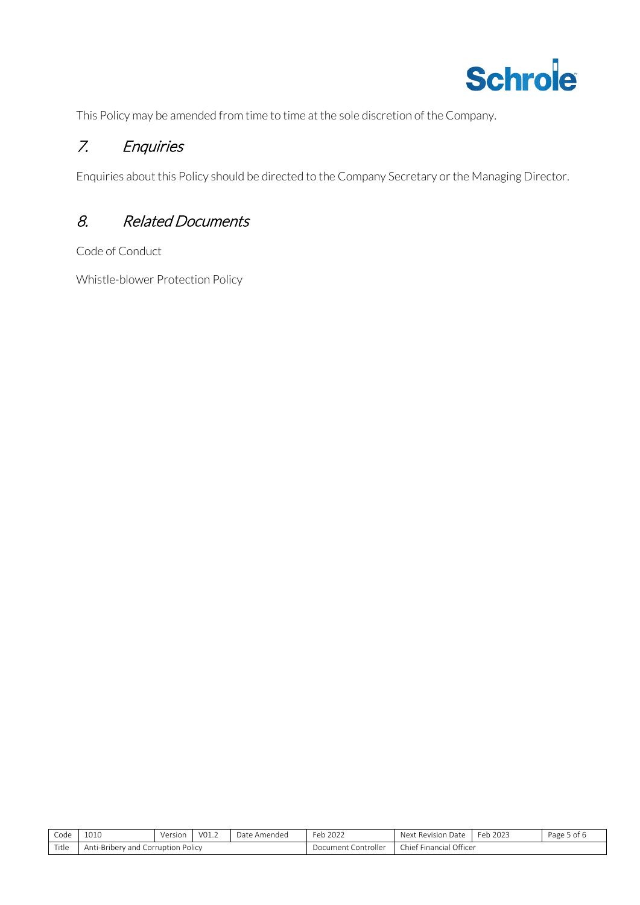

This Policy may be amended from time to time at the sole discretion of the Company.

# 7. Enquiries

Enquiries about this Policy should be directed to the Company Secretary or the Managing Director.

# 8. Related Documents

Code of Conduct

Whistle-blower Protection Policy

| Code  | 1010<br>⊥∪⊥∪                                      | Version | VO1.2 | Jate<br>Amendec | 222<br>Feb 202 $\angle$ | Next<br>I)ate<br>Revision<br>. .         | 2023<br>Feb | Page 5 of 6 |
|-------|---------------------------------------------------|---------|-------|-----------------|-------------------------|------------------------------------------|-------------|-------------|
| Title | Policy<br>Corruption<br>.-Briberv<br>Λn'<br>/ and |         |       |                 | :ontroller<br>Document  | Officer<br>$\sim$<br>: Financial<br>hiet |             |             |